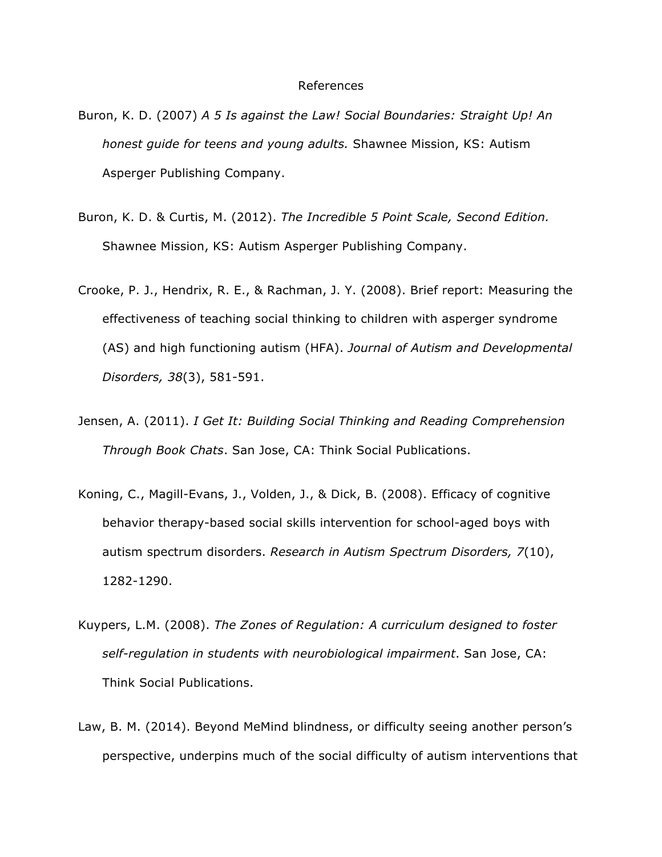## References

- Buron, K. D. (2007) *A 5 Is against the Law! Social Boundaries: Straight Up! An honest guide for teens and young adults.* Shawnee Mission, KS: Autism Asperger Publishing Company.
- Buron, K. D. & Curtis, M. (2012). *The Incredible 5 Point Scale, Second Edition.* Shawnee Mission, KS: Autism Asperger Publishing Company.
- Crooke, P. J., Hendrix, R. E., & Rachman, J. Y. (2008). Brief report: Measuring the effectiveness of teaching social thinking to children with asperger syndrome (AS) and high functioning autism (HFA). *Journal of Autism and Developmental Disorders, 38*(3), 581-591.
- Jensen, A. (2011). *I Get It: Building Social Thinking and Reading Comprehension Through Book Chats*. San Jose, CA: Think Social Publications.
- Koning, C., Magill-Evans, J., Volden, J., & Dick, B. (2008). Efficacy of cognitive behavior therapy-based social skills intervention for school-aged boys with autism spectrum disorders. *Research in Autism Spectrum Disorders, 7*(10), 1282-1290.
- Kuypers, L.M. (2008). *The Zones of Regulation: A curriculum designed to foster self-regulation in students with neurobiological impairment*. San Jose, CA: Think Social Publications.
- Law, B. M. (2014). Beyond MeMind blindness, or difficulty seeing another person's perspective, underpins much of the social difficulty of autism interventions that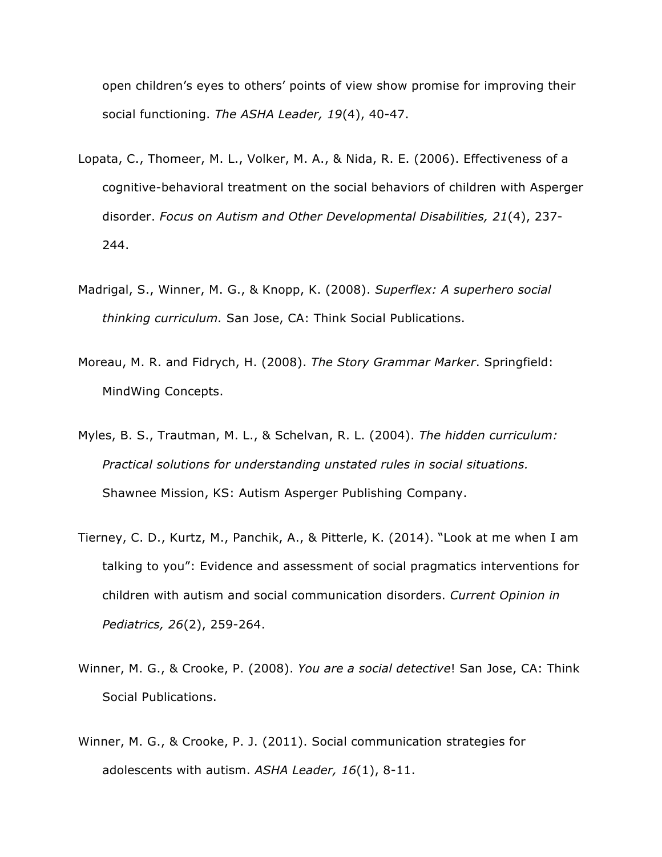open children's eyes to others' points of view show promise for improving their social functioning. *The ASHA Leader, 19*(4), 40-47.

- Lopata, C., Thomeer, M. L., Volker, M. A., & Nida, R. E. (2006). Effectiveness of a cognitive-behavioral treatment on the social behaviors of children with Asperger disorder. *Focus on Autism and Other Developmental Disabilities, 21*(4), 237- 244.
- Madrigal, S., Winner, M. G., & Knopp, K. (2008). *Superflex: A superhero social thinking curriculum.* San Jose, CA: Think Social Publications.
- Moreau, M. R. and Fidrych, H. (2008). *The Story Grammar Marker*. Springfield: MindWing Concepts.
- Myles, B. S., Trautman, M. L., & Schelvan, R. L. (2004). *The hidden curriculum: Practical solutions for understanding unstated rules in social situations.* Shawnee Mission, KS: Autism Asperger Publishing Company.
- Tierney, C. D., Kurtz, M., Panchik, A., & Pitterle, K. (2014). "Look at me when I am talking to you": Evidence and assessment of social pragmatics interventions for children with autism and social communication disorders. *Current Opinion in Pediatrics, 26*(2), 259-264.
- Winner, M. G., & Crooke, P. (2008). *You are a social detective*! San Jose, CA: Think Social Publications.
- Winner, M. G., & Crooke, P. J. (2011). Social communication strategies for adolescents with autism. *ASHA Leader, 16*(1), 8-11.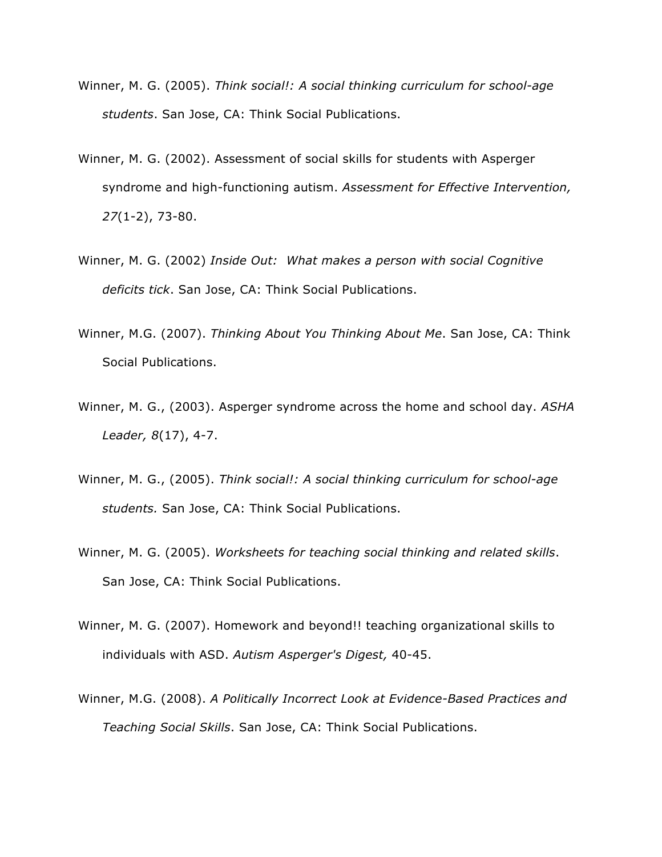- Winner, M. G. (2005). *Think social!: A social thinking curriculum for school-age students*. San Jose, CA: Think Social Publications.
- Winner, M. G. (2002). Assessment of social skills for students with Asperger syndrome and high-functioning autism. *Assessment for Effective Intervention, 27*(1-2), 73-80.
- Winner, M. G. (2002) *Inside Out: What makes a person with social Cognitive deficits tick*. San Jose, CA: Think Social Publications.
- Winner, M.G. (2007). *Thinking About You Thinking About Me*. San Jose, CA: Think Social Publications.
- Winner, M. G., (2003). Asperger syndrome across the home and school day. *ASHA Leader, 8*(17), 4-7.
- Winner, M. G., (2005). *Think social!: A social thinking curriculum for school-age students.* San Jose, CA: Think Social Publications.
- Winner, M. G. (2005). *Worksheets for teaching social thinking and related skills*. San Jose, CA: Think Social Publications.
- Winner, M. G. (2007). Homework and beyond!! teaching organizational skills to individuals with ASD. *Autism Asperger's Digest,* 40-45.
- Winner, M.G. (2008). *A Politically Incorrect Look at Evidence-Based Practices and Teaching Social Skills*. San Jose, CA: Think Social Publications.